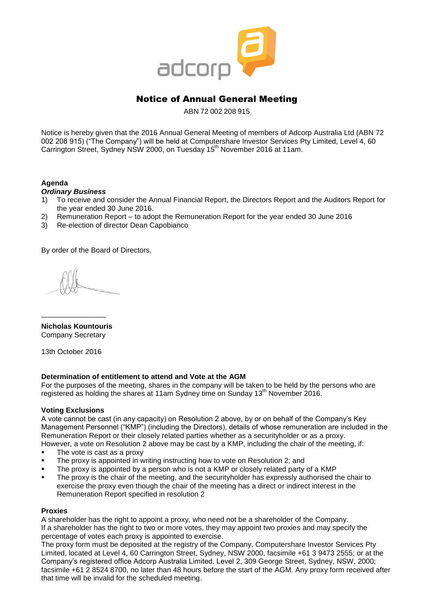

# Notice of Annual General Meeting

ABN 72 002 208 915

Notice is hereby given that the 2016 Annual General Meeting of members of Adcorp Australia Ltd (ABN 72 002 208 915) ("The Company") will be held at Computershare Investor Services Pty Limited, Level 4, 60 Carrington Street, Sydney NSW 2000, on Tuesday 15<sup>th</sup> November 2016 at 11am.

# **Agenda**

## *Ordinary Business*

- 1) To receive and consider the Annual Financial Report, the Directors Report and the Auditors Report for the year ended 30 June 2016.
- 2) Remuneration Report to adopt the Remuneration Report for the year ended 30 June 2016
- 3) Re-election of director Dean Capobianco

By order of the Board of Directors,

**Nicholas Kountouris** Company Secretary

\_\_\_\_\_\_\_\_\_\_\_\_\_\_\_\_

13th October 2016

# **Determination of entitlement to attend and Vote at the AGM**

For the purposes of the meeting, shares in the company will be taken to be held by the persons who are registered as holding the shares at 11am Sydney time on Sunday 13<sup>th</sup> November 2016.

#### **Voting Exclusions**

A vote cannot be cast (in any capacity) on Resolution 2 above, by or on behalf of the Company's Key Management Personnel ("KMP") (including the Directors), details of whose remuneration are included in the Remuneration Report or their closely related parties whether as a securityholder or as a proxy. However, a vote on Resolution 2 above may be cast by a KMP, including the chair of the meeting, if:

- The vote is cast as a proxy
- The proxy is appointed in writing instructing how to vote on Resolution 2; and
- The proxy is appointed by a person who is not a KMP or closely related party of a KMP
- The proxy is the chair of the meeting, and the securityholder has expressly authorised the chair to exercise the proxy even though the chair of the meeting has a direct or indirect interest in the Remuneration Report specified in resolution 2

#### **Proxies**

A shareholder has the right to appoint a proxy, who need not be a shareholder of the Company. If a shareholder has the right to two or more votes, they may appoint two proxies and may specify the percentage of votes each proxy is appointed to exercise.

The proxy form must be deposited at the registry of the Company, Computershare Investor Services Pty Limited, located at Level 4, 60 Carrington Street, Sydney, NSW 2000, facsimile +61 3 9473 2555; or at the Company's registered office Adcorp Australia Limited, Level 2, 309 George Street, Sydney, NSW, 2000; facsimile +61 2 8524 8700, no later than 48 hours before the start of the AGM. Any proxy form received after that time will be invalid for the scheduled meeting.